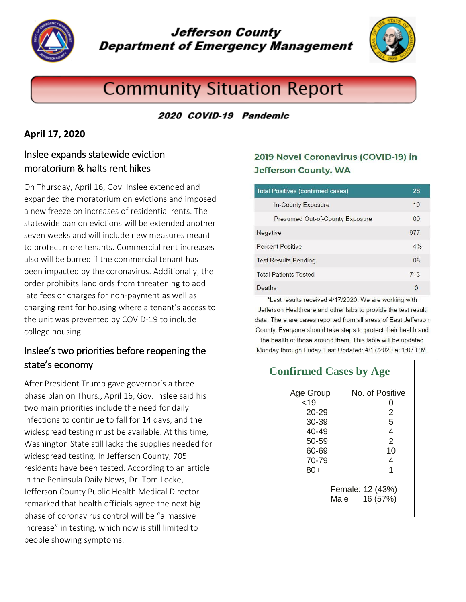

# **Jefferson County Department of Emergency Management**



# **Community Situation Report**

#### 2020 COVID-19 Pandemic

 $\overline{\phantom{a}}$  $\overline{\phantom{a}}$  $\overline{\phantom{a}}$  $\overline{\phantom{a}}$  $\overline{\phantom{a}}$  $\overline{\phantom{a}}$  $\overline{\phantom{a}}$  $\overline{\phantom{a}}$  $\overline{\phantom{a}}$  $\overline{\phantom{a}}$  $\overline{\phantom{a}}$  $\overline{\phantom{a}}$ 

#### **April 17, 2020**

### Inslee expands statewide eviction moratorium & halts rent hikes

On Thursday, April 16, Gov. Inslee extended and expanded the moratorium on evictions and imposed a new freeze on increases of residential rents. The statewide ban on evictions will be extended another seven weeks and will include new measures meant to protect more tenants. Commercial rent increases also will be barred if the commercial tenant has been impacted by the coronavirus. Additionally, the order prohibits landlords from threatening to add late fees or charges for non-payment as well as charging rent for housing where a tenant's access to the unit was prevented by COVID-19 to include college housing.

# Inslee's two priorities before reopening the state's economy

After President Trump gave governor's a threephase plan on Thurs., April 16, Gov. Inslee said his two main priorities include the need for daily infections to continue to fall for 14 days, and the widespread testing must be available. At this time, Washington State still lacks the supplies needed for widespread testing. In Jefferson County, 705 residents have been tested. According to an article in the Peninsula Daily News, Dr. Tom Locke, Jefferson County Public Health Medical Director remarked that health officials agree the next big phase of coronavirus control will be "a massive increase" in testing, which now is still limited to people showing symptoms.

### 2019 Novel Coronavirus (COVID-19) in **Jefferson County, WA**

| <b>Total Positives (confirmed cases)</b>                           | 28           |
|--------------------------------------------------------------------|--------------|
| In-County Exposure                                                 | 19           |
| <b>Presumed Out-of-County Exposure</b>                             | 09           |
| Negative                                                           | 677          |
| <b>Percent Positive</b>                                            | 4%           |
| <b>Test Results Pending</b>                                        | 08           |
| <b>Total Patients Tested</b>                                       | 713          |
| Deaths                                                             | $\mathbf{0}$ |
| $\frac{1}{2}$ ast require resolved $4/47/2020$ Me are weeking with |              |

Last results received 4/17/2020. We are working with Jefferson Healthcare and other labs to provide the test result data. There are cases reported from all areas of East Jefferson County. Everyone should take steps to protect their health and the health of those around them. This table will be updated Monday through Friday. Last Updated: 4/17/2020 at 1:07 P.M.

| <b>Confirmed Cases by Age</b>                                                 |                                                     |  |
|-------------------------------------------------------------------------------|-----------------------------------------------------|--|
| Age Group<br>19<br>$20 - 29$<br>30-39<br>$40 - 49$<br>50-59<br>60-69<br>70-79 | No. of Positive<br>O<br>2<br>5<br>4<br>2<br>10<br>4 |  |
| $80+$                                                                         | 1<br>Female: 12 (43%)<br>16 (57%)<br>Male           |  |